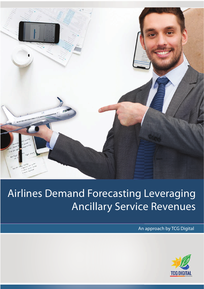

# Airlines Demand Forecasting Leveraging Ancillary Service Revenues

An approach by TCG Digital

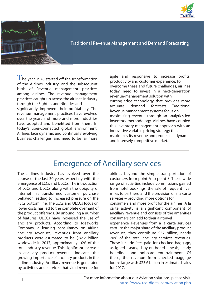



Traditional Revenue Management and Demand Forecasting

 $\mathrm{T}$ he year 1978 started off the transformation of the Airlines industry, and the subsequent birth of Revenue management practices among airlines. The revenue management practices caught up across the airlines industry through the Eighties and Nineties and significantly improved their profitability. The revenue management practices have evolved over the years and more and more industries have adopted and benefitted from them. In today's uber-connected global environment, Airlines face dynamic and continually evolving business challenges, and need to be far more

agile and responsive to increase profits, productivity and customer experience. To overcome these and future challenges, airlines today, need to invest in a next-generation revenue-management solution with cutting-edge technology that provides more accurate demand forecasts. Traditional Revenue management systems focus on maximizing revenue through an analytics-led inventory methodology. Airlines have coupled this inventory-management approach with an innovative variable pricing strategy that maximizes its revenue and profits in a dynamic and intensely competitive market.

## Emergence of Ancillary services

The airlines industry has evolved over the course of the last 30 years, especially with the emergence of LCCs and ULCCs. The introduction of LCCs and ULCCs along with the ubiquity of internet has transformed customer purchase behavior, leading to increased pressure on the FSCs bottom line. The LCCs and ULCCs focus on lower costs has led to the complete overhaul of the product offerings. By unbundling a number of features, ULCCs have increased the use of ancillary products. According to Ideaworks Company, a leading consultancy on airline ancillary revenues, revenues from ancillary products were estimated to be \$82.2 billion worldwide in 2017, approximately 10% of the total industry revenue. This significant increase in ancillary product revenues indicates the growing importance of ancillary products in the airline industry. Ancillary revenue is generated by activities and services that yield revenue for

airlines beyond the simple transportation of customers from point A to point B. These wide range of activities include commissions gained from hotel bookings, the sale of frequent flyer miles to partners, and the provision of a la carte services − providing more options for consumers and more profit for the airlines. A la carte activity is a significant component of ancillary revenue and consists of the amenities consumers can add to their air travel experience. Revenues from a la carte services capture the major share of the ancillary product revenues; they contribute \$57 billion, nearly 70% of the total ancillary services revenues. These include fees paid for checked baggage, assigned seats, buy-on-board meals, early boarding, and onboard entertainment. Of these, the revenue from checked baggage looms large with \$23.6 billion in estimated sales for 2017.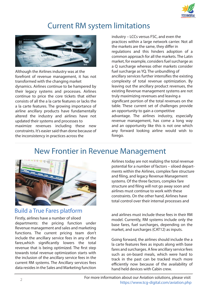

## Current RM system limitations



Although the Airlines industry was at the forefront of revenue management, it has not transformed with the changing market dynamics. Airlines continue to be hampered by their legacy systems and processes. Airlines continue to price the core tickets that either consists of all the a la carte features or lacks the a la carte features. The growing importance of airline ancillary products have fundamentally altered the industry and airlines have not updated their systems and processes to maximize revenues including these new constraints. It's easier said than done because of the inconsistency in practices across the

industry – LCCs versus FSC, and even the practices within a large network carrier. Not all the markets are the same, they differ in regulations and this hinders adoption of a common approach for all the markets. The Latin market, for example, considers fuel surcharge as a Q surcharge whereas other markets consider fuel surcharge as YO. The unbundling of ancillary services further intensifies the existing complexity of total revenue optimization. By leaving out the ancillary product revenues, the existing Revenue management systems are not truly maximizing revenues and leaving a significant portion of the total revenues on the table. These current set of challenges provide an opportunity to gain a competitive advantage. The airlines industry, especially revenue management, has come a long way and an opportunity like this is not one which any forward looking airline would wish to forego.

## New Frontier in Revenue Management



#### Build a True Fares platform

Firstly, airlines have a number of siloed departments: the pricing function under Revenue management and sales and marketing functions. The current pricing team don't include the ancillary service fees in any of the fares,which significantly lowers the total revenue that is being optimized. The first step towards total revenue optimization starts with the inclusion of the ancillary service fees in the current RM systems. The Ancillary services fees data resides in the Sales and Marketing function

Airlines today are not realizing the total revenue potential for a number of factors – siloed departments within the Airlines, complex fare structure and filing, and legacy Revenue Management systems. Of the three factors, complex fare structure and filing will not go away soon and airlines must continue to work with these constraints. On the other hand, Airlines have total control over their internal processes and

and airlines must include these fees in their RM model. Currently, RM systems include only the base fares, fuel surcharges, depending on the market, and surcharges (CAT12) as inputs.

Going forward, the airlines should include the a la carte features fees as inputs along with base fares and surcharges. A few ancillary service fees such as on-board meals, which were hard to track in the past can be tracked much more efficiently now because of the availability of hand held devices with Cabin crew.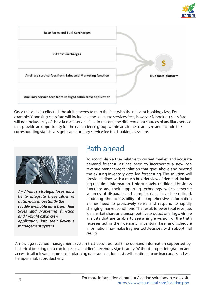



Once this data is collected, the airline needs to map the fees with the relevant booking class. For example, Y booking class fare will include all the a la carte services fees; however N booking class fare will not include any of the a la carte service fees. In this era, the different data sources of ancillary service fees provide an opportunity for the data science group within an airline to analyze and include the corresponding statistical significant ancillary service fee to a booking class fare.



**An Airline's strategic focus must be to integrate these siloes of data, most importantly the readily available data from their Sales and Marketing function and In-flight cabin crew application, into their Revenue management system.**

## Path ahead

To accomplish a true, relative to current market, and accurate demand forecast, airlines need to incorporate a new age revenue-management solution that goes above and beyond the existing inventory data led forecasting. The solution will provide airlines with a much broader view of demand, including real-time information. Unfortunately, traditional business functions and their supporting technology, which generate volumes of disparate and complex data, have been siloed, hindering the accessibility of comprehensive information airlines need to proactively sense and respond to rapidly changing market conditions. The result is lower total revenue, lost market share and uncompetitive product offerings. Airline analysts that are unable to see a single version of the truth represented in their demand, inventory, fare, and schedule information may make fragmented decisions with suboptimal results.

A new age revenue-management system that uses true real-time demand information supported by historical booking data can increase an airline's revenues significantly. Without proper integration and access to all relevant commercial-planning data sources, forecasts will continue to be inaccurate and will hamper analyst productivity.